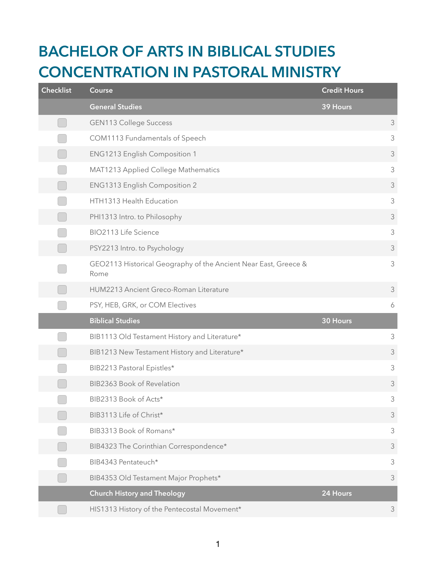## **BACHELOR OF ARTS IN BIBLICAL STUDIES CONCENTRATION IN PASTORAL MINISTRY**

| <b>Checklist</b> | Course                                                                  | <b>Credit Hours</b> |                |
|------------------|-------------------------------------------------------------------------|---------------------|----------------|
|                  | <b>General Studies</b>                                                  | 39 Hours            |                |
|                  | <b>GEN113 College Success</b>                                           |                     | 3              |
|                  | COM1113 Fundamentals of Speech                                          |                     | $\mathfrak{Z}$ |
|                  | ENG1213 English Composition 1                                           |                     | $\mathfrak{Z}$ |
|                  | MAT1213 Applied College Mathematics                                     |                     | $\mathfrak{Z}$ |
|                  | ENG1313 English Composition 2                                           |                     | $\mathfrak{Z}$ |
|                  | HTH1313 Health Education                                                |                     | $\mathfrak{Z}$ |
|                  | PHI1313 Intro. to Philosophy                                            |                     | $\mathfrak{Z}$ |
|                  | BIO2113 Life Science                                                    |                     | $\mathfrak{Z}$ |
|                  | PSY2213 Intro. to Psychology                                            |                     | $\mathfrak{Z}$ |
|                  | GEO2113 Historical Geography of the Ancient Near East, Greece &<br>Rome |                     | $\mathfrak{Z}$ |
|                  | HUM2213 Ancient Greco-Roman Literature                                  |                     | 3              |
|                  | PSY, HEB, GRK, or COM Electives                                         |                     | 6              |
|                  | <b>Biblical Studies</b>                                                 | 30 Hours            |                |
|                  | BIB1113 Old Testament History and Literature*                           |                     | 3              |
|                  | BIB1213 New Testament History and Literature*                           |                     | $\mathfrak{Z}$ |
|                  | BIB2213 Pastoral Epistles*                                              |                     | $\mathfrak{Z}$ |
|                  | BIB2363 Book of Revelation                                              |                     | $\mathfrak{Z}$ |
|                  | BIB2313 Book of Acts*                                                   |                     | 3              |
|                  | BIB3113 Life of Christ*                                                 |                     | $\mathfrak{Z}$ |
|                  | BIB3313 Book of Romans*                                                 |                     | 3              |
|                  | BIB4323 The Corinthian Correspondence*                                  |                     | 3              |
|                  | BIB4343 Pentateuch*                                                     |                     | $\mathfrak{Z}$ |
|                  | BIB4353 Old Testament Major Prophets*                                   |                     | 3              |
|                  | <b>Church History and Theology</b>                                      | 24 Hours            |                |
|                  | HIS1313 History of the Pentecostal Movement*                            |                     | $\mathfrak{Z}$ |